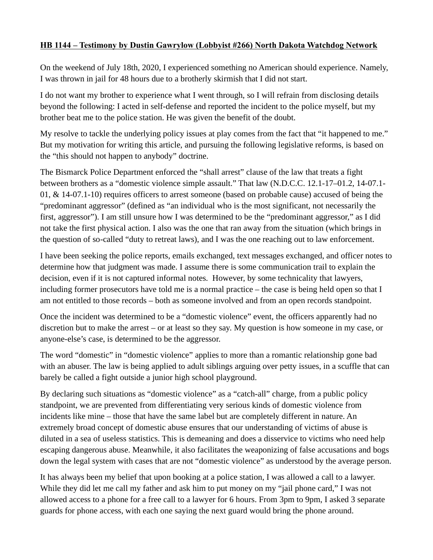## HB 1144 – Testimony by Dustin Gawrylow (Lobbyist #2 66 ) North Dakota Watchdog Network

On the weekend of July 18th, 2020, I experienced something no American should experience. Namely, I was thrown in jail for 48 hours due to a brotherly skirmish that I did not start.

I do not want my brother to experience what I went through, so I will refrain from disclosing details beyond the following: I acted in self-defense and reported the incident to the police myself, but my brother beat me to the police station. He was given the benefit of the doubt.

My resolve to tackle the underlying policy issues at play comes from the fact that "it happened to me." But my motivation for writing this article, and pursuing the following legislative reforms, is based on the "this should not happen to anybody" doctrine.

The Bismarck Police Department enforced the "shall arrest" clause of the law that treats a fight between brothers as a "domestic violence simple assault." That law (N.D.C.C. 12.1-17–01.2, 14-07.1- 01, & 14-07.1-10) requires officers to arrest someone (based on probable cause) accused of being the "predominant aggressor" (defined as "an individual who is the most significant, not necessarily the first, aggressor"). I am still unsure how I was determined to be the "predominant aggressor," as I did not take the first physical action. I also was the one that ran away from the situation (which brings in the question of so-called "duty to retreat laws), and I was the one reaching out to law enforcement.

I have been seeking the police reports, emails exchanged, text messages exchanged, and officer notes to determine how that judgment was made. I assume there is some communication trail to explain the decision, even if it is not captured informal notes. However, by some technicality that lawyers, including former prosecutors have told me is a normal practice – the case is being held open so that I am not entitled to those records – both as someone involved and from an open records standpoint.

Once the incident was determined to be a "domestic violence" event, the officers apparently had no discretion but to make the arrest – or at least so they say. My question is how someone in my case, or anyone-else's case, is determined to be the aggressor.

The word "domestic" in "domestic violence" applies to more than a romantic relationship gone bad with an abuser. The law is being applied to adult siblings arguing over petty issues, in a scuffle that can barely be called a fight outside a junior high school playground.

By declaring such situations as "domestic violence" as a "catch-all" charge, from a public policy standpoint, we are prevented from differentiating very serious kinds of domestic violence from incidents like mine – those that have the same label but are completely different in nature. An extremely broad concept of domestic abuse ensures that our understanding of victims of abuse is diluted in a sea of useless statistics. This is demeaning and does a disservice to victims who need help escaping dangerous abuse. Meanwhile, it also facilitates the weaponizing of false accusations and bogs down the legal system with cases that are not "domestic violence" as understood by the average person.

It has always been my belief that upon booking at a police station, I was allowed a call to a lawyer. While they did let me call my father and ask him to put money on my "jail phone card," I was not allowed access to a phone for a free call to a lawyer for 6 hours. From 3pm to 9pm, I asked 3 separate guards for phone access, with each one saying the next guard would bring the phone around.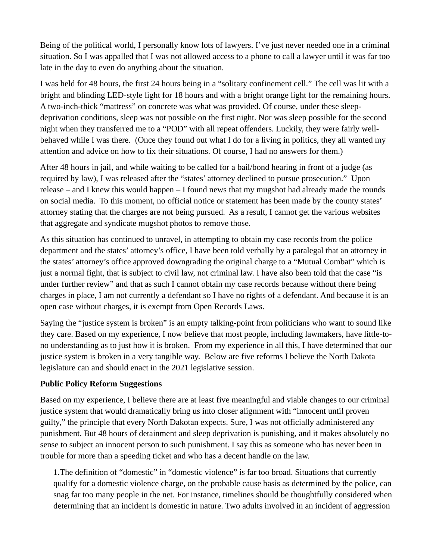Being of the political world, I personally know lots of lawyers. I've just never needed one in a criminal situation. So I was appalled that I was not allowed access to a phone to call a lawyer until it was far too late in the day to even do anything about the situation.

I was held for 48 hours, the first 24 hours being in a "solitary confinement cell." The cell was lit with a bright and blinding LED-style light for 18 hours and with a bright orange light for the remaining hours. A two-inch-thick "mattress" on concrete was what was provided. Of course, under these sleepdeprivation conditions, sleep was not possible on the first night. Nor was sleep possible for the second night when they transferred me to a "POD" with all repeat offenders. Luckily, they were fairly wellbehaved while I was there. (Once they found out what I do for a living in politics, they all wanted my attention and advice on how to fix their situations. Of course, I had no answers for them.)

After 48 hours in jail, and while waiting to be called for a bail/bond hearing in front of a judge (as required by law), I was released after the "states' attorney declined to pursue prosecution." Upon release – and I knew this would happen  $-1$  found news that my mugshot had already made the rounds on social media. To this moment, no official notice or statement has been made by the county states' attorney stating that the charges are not being pursued. As a result, I cannot get the various websites that aggregate and syndicate mugshot photos to remove those.

As this situation has continued to unravel, in attempting to obtain my case records from the police department and the states' attorney's office, I have been told verbally by a paralegal that an attorney in the states' attorney's office approved downgrading the original charge to a "Mutual Combat" which is just a normal fight, that is subject to civil law, not criminal law. I have also been told that the case "is under further review" and that as such I cannot obtain my case records because without there being charges in place, I am not currently a defendant so I have no rights of a defendant. And because it is an open case without charges, it is exempt from Open Records Laws.

Saying the "justice system is broken" is an empty talking-point from politicians who want to sound like they care. Based on my experience, I now believe that most people, including lawmakers, have little-tono understanding as to just how it is broken. From my experience in all this, I have determined that our justice system is broken in a very tangible way. Below are five reforms I believe the North Dakota legislature can and should enact in the 2021 legislative session.

## Public Policy Reform Suggestions

Based on my experience, I believe there are at least five meaningful and viable changes to our criminal justice system that would dramatically bring us into closer alignment with "innocent until proven guilty," the principle that every North Dakotan expects. Sure, I was not officially administered any punishment. But 48 hours of detainment and sleep deprivation is punishing, and it makes absolutely no sense to subject an innocent person to such punishment. I say this as someone who has never been in trouble for more than a speeding ticket and who has a decent handle on the law.

1.The definition of "domestic" in "domestic violence" is far too broad. Situations that currently qualify for a domestic violence charge, on the probable cause basis as determined by the police, can snag far too many people in the net. For instance, timelines should be thoughtfully considered when determining that an incident is domestic in nature. Two adults involved in an incident of aggression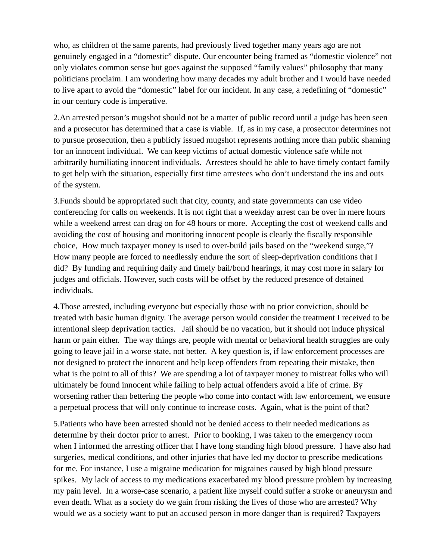who, as children of the same parents, had previously lived together many years ago are not genuinely engaged in a "domestic" dispute. Our encounter being framed as "domestic violence" not only violates common sense but goes against the supposed "family values" philosophy that many politicians proclaim. I am wondering how many decades my adult brother and I would have needed to live apart to avoid the "domestic" label for our incident. In any case, a redefining of "domestic" in our century code is imperative.

2.An arrested person's mugshot should not be a matter of public record until a judge has been seen and a prosecutor has determined that a case is viable. If, as in my case, a prosecutor determines not to pursue prosecution, then a publicly issued mugshot represents nothing more than public shaming for an innocent individual. We can keep victims of actual domestic violence safe while not arbitrarily humiliating innocent individuals. Arrestees should be able to have timely contact family to get help with the situation, especially first time arrestees who don't understand the ins and outs of the system.

3.Funds should be appropriated such that city, county, and state governments can use video conferencing for calls on weekends. It is not right that a weekday arrest can be over in mere hours while a weekend arrest can drag on for 48 hours or more. Accepting the cost of weekend calls and avoiding the cost of housing and monitoring innocent people is clearly the fiscally responsible choice, How much taxpayer money is used to over-build jails based on the "weekend surge,"? How many people are forced to needlessly endure the sort of sleep-deprivation conditions that I did? By funding and requiring daily and timely bail/bond hearings, it may cost more in salary for judges and officials. However, such costs will be offset by the reduced presence of detained individuals.

4.Those arrested, including everyone but especially those with no prior conviction, should be treated with basic human dignity. The average person would consider the treatment I received to be intentional sleep deprivation tactics. Jail should be no vacation, but it should not induce physical harm or pain either. The way things are, people with mental or behavioral health struggles are only going to leave jail in a worse state, not better. A key question is, if law enforcement processes are not designed to protect the innocent and help keep offenders from repeating their mistake, then what is the point to all of this? We are spending a lot of taxpayer money to mistreat folks who will ultimately be found innocent while failing to help actual offenders avoid a life of crime. By worsening rather than bettering the people who come into contact with law enforcement, we ensure a perpetual process that will only continue to increase costs. Again, what is the point of that?

5.Patients who have been arrested should not be denied access to their needed medications as determine by their doctor prior to arrest. Prior to booking, I was taken to the emergency room when I informed the arresting officer that I have long standing high blood pressure. I have also had surgeries, medical conditions, and other injuries that have led my doctor to prescribe medications for me. For instance, I use a migraine medication for migraines caused by high blood pressure spikes. My lack of access to my medications exacerbated my blood pressure problem by increasing my pain level. In a worse-case scenario, a patient like myself could suffer a stroke or aneurysm and even death. What as a society do we gain from risking the lives of those who are arrested? Why would we as a society want to put an accused person in more danger than is required? Taxpayers